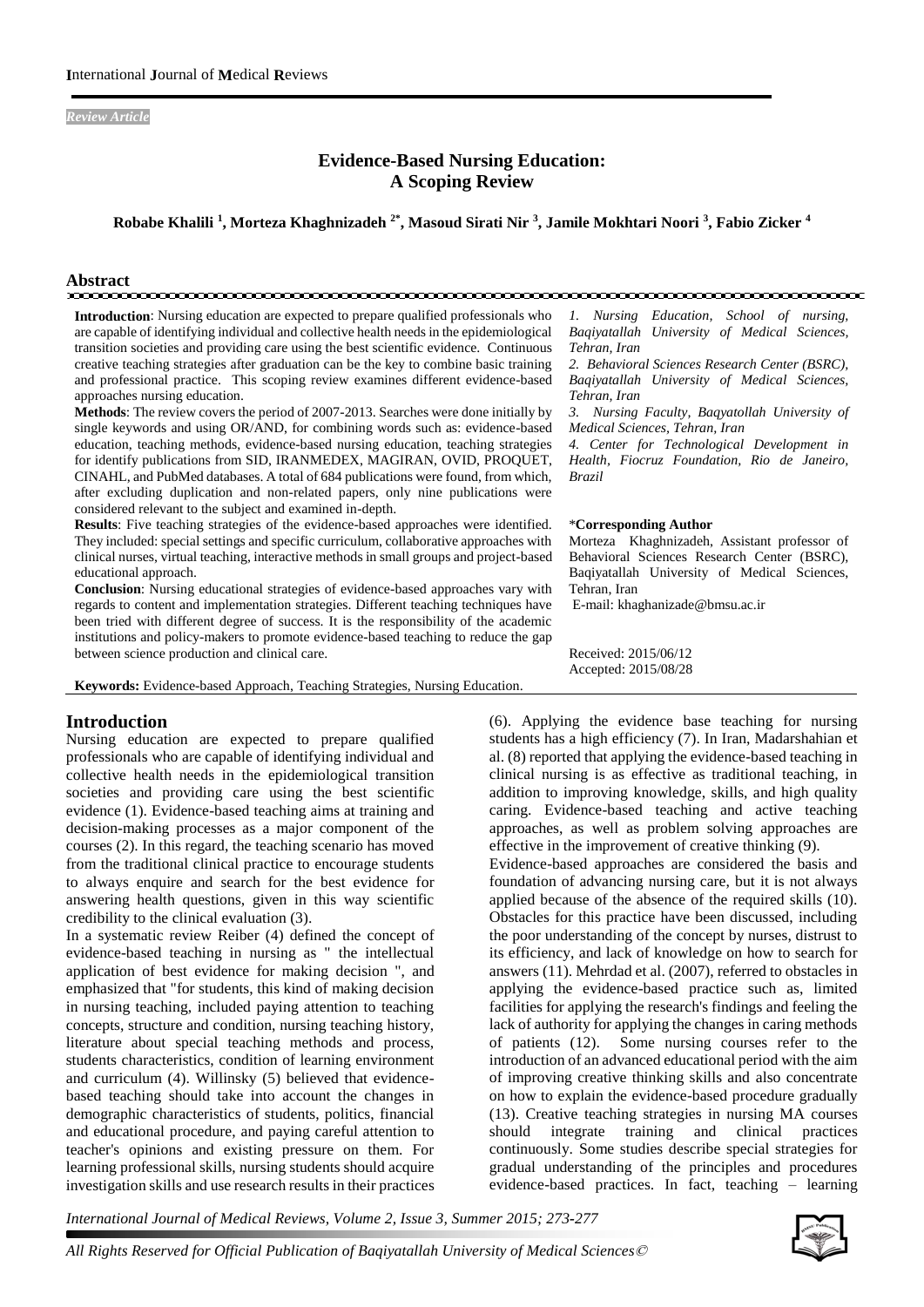*Review Article* 

# **Evidence-Based Nursing Education: A Scoping Review**

**Robabe Khalili <sup>1</sup> , Morteza Khaghnizadeh 2\*, Masoud Sirati Nir <sup>3</sup> , Jamile Mokhtari Noori <sup>3</sup> , Fabio Zicker <sup>4</sup>**

#### **Abstract** mononomonomonomonomonomo

**Introduction**: Nursing education are expected to prepare qualified professionals who are capable of identifying individual and collective health needs in the epidemiological transition societies and providing care using the best scientific evidence. Continuous creative teaching strategies after graduation can be the key to combine basic training and professional practice. This scoping review examines different evidence-based approaches nursing education.

**Methods**: The review covers the period of 2007-2013. Searches were done initially by single keywords and using OR/AND, for combining words such as: evidence-based education, teaching methods, evidence-based nursing education, teaching strategies for identify publications from SID, IRANMEDEX, MAGIRAN, OVID, PROQUET, CINAHL, and PubMed databases. A total of 684 publications were found, from which, after excluding duplication and non-related papers, only nine publications were considered relevant to the subject and examined in-depth.

**Results**: Five teaching strategies of the evidence-based approaches were identified. They included: special settings and specific curriculum, collaborative approaches with clinical nurses, virtual teaching, interactive methods in small groups and project-based educational approach.

**Conclusion**: Nursing educational strategies of evidence-based approaches vary with regards to content and implementation strategies. Different teaching techniques have been tried with different degree of success. It is the responsibility of the academic institutions and policy-makers to promote evidence-based teaching to reduce the gap between science production and clinical care.

**Keywords:** Evidence-based Approach, Teaching Strategies, Nursing Education.

#### **Introduction**

Nursing education are expected to prepare qualified professionals who are capable of identifying individual and collective health needs in the epidemiological transition societies and providing care using the best scientific evidence (1). Evidence-based teaching aims at training and decision-making processes as a major component of the courses (2). In this regard, the teaching scenario has moved from the traditional clinical practice to encourage students to always enquire and search for the best evidence for answering health questions, given in this way scientific credibility to the clinical evaluation (3).

In a systematic review Reiber (4) defined the concept of evidence-based teaching in nursing as " the intellectual application of best evidence for making decision ", and emphasized that "for students, this kind of making decision in nursing teaching, included paying attention to teaching concepts, structure and condition, nursing teaching history, literature about special teaching methods and process, students characteristics, condition of learning environment and curriculum (4). Willinsky (5) believed that evidencebased teaching should take into account the changes in demographic characteristics of students, politics, financial and educational procedure, and paying careful attention to teacher's opinions and existing pressure on them. For learning professional skills, nursing students should acquire investigation skills and use research results in their practices

*1. Nursing Education, School of nursing, Baqiyatallah University of Medical Sciences, Tehran, Iran* 

*2. Behavioral Sciences Research Center (BSRC), Baqiyatallah University of Medical Sciences, Tehran, Iran*

*3. Nursing Faculty, Baqyatollah University of Medical Sciences, Tehran, Iran*

*4. Center for Technological Development in Health, Fiocruz Foundation, Rio de Janeiro, Brazil*

#### \***Corresponding Author**

Morteza Khaghnizadeh, Assistant professor of Behavioral Sciences Research Center (BSRC), Baqiyatallah University of Medical Sciences, Tehran, Iran

E-mail: khaghanizade@bmsu.ac.ir

Received: 2015/06/12 Accepted: 2015/08/28

(6). Applying the evidence base teaching for nursing students has a high efficiency (7). In Iran, Madarshahian et al. (8) reported that applying the evidence-based teaching in clinical nursing is as effective as traditional teaching, in addition to improving knowledge, skills, and high quality caring. Evidence-based teaching and active teaching approaches, as well as problem solving approaches are effective in the improvement of creative thinking (9). Evidence-based approaches are considered the basis and

foundation of advancing nursing care, but it is not always applied because of the absence of the required skills (10). Obstacles for this practice have been discussed, including the poor understanding of the concept by nurses, distrust to its efficiency, and lack of knowledge on how to search for answers (11). Mehrdad et al. (2007), referred to obstacles in applying the evidence-based practice such as, limited facilities for applying the research's findings and feeling the lack of authority for applying the changes in caring methods of patients (12). Some nursing courses refer to the introduction of an advanced educational period with the aim of improving creative thinking skills and also concentrate on how to explain the evidence-based procedure gradually (13). Creative teaching strategies in nursing MA courses should integrate training and clinical practices continuously. Some studies describe special strategies for gradual understanding of the principles and procedures evidence-based practices. In fact, teaching – learning

*International Journal of Medical Reviews, Volume 2, Issue 3, Summer 2015; 273-277*

*All Rights Reserved for Official Publication of Baqiyatallah University of Medical Sciences*©

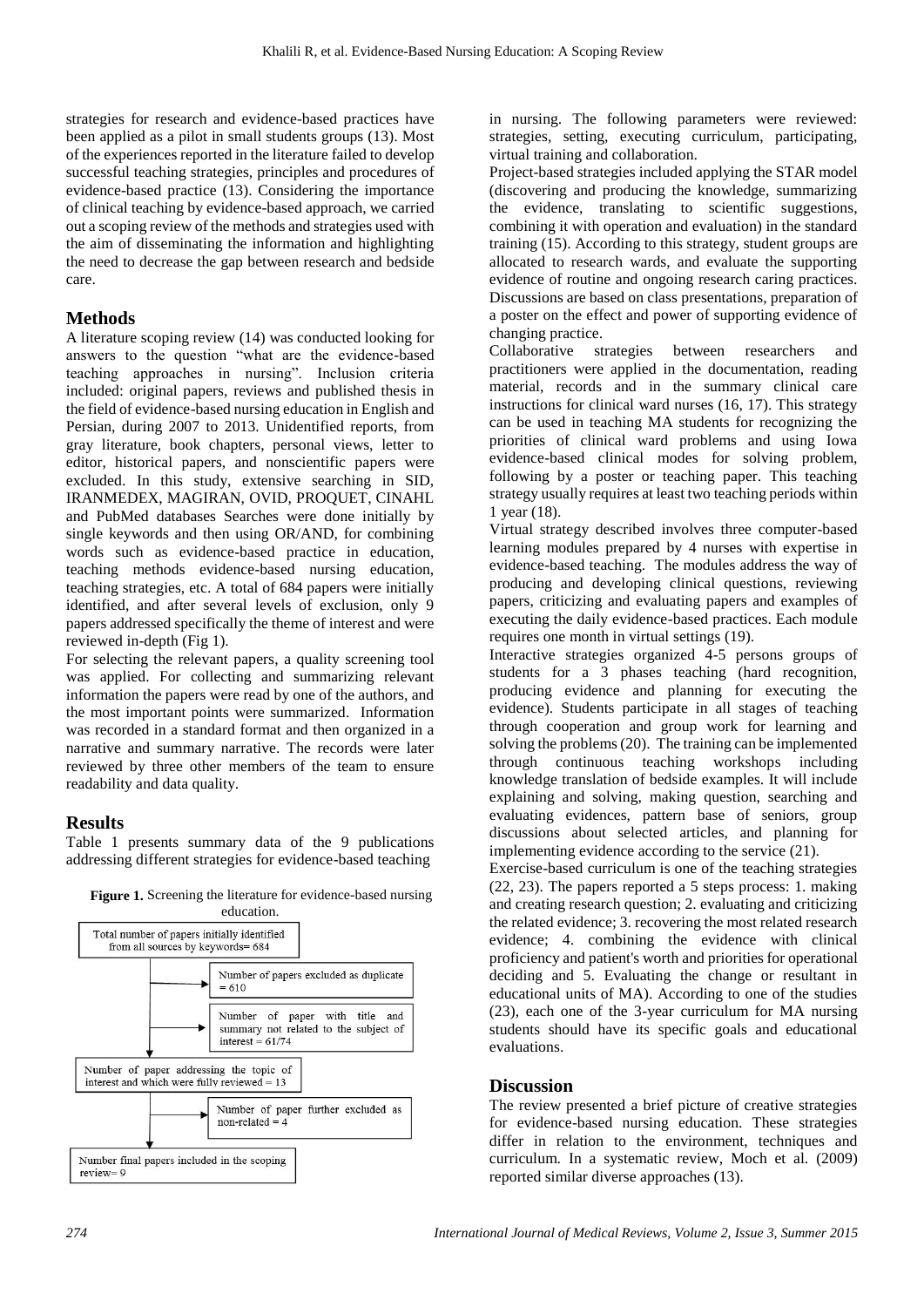strategies for research and evidence-based practices have been applied as a pilot in small students groups (13). Most of the experiences reported in the literature failed to develop successful teaching strategies, principles and procedures of evidence-based practice (13). Considering the importance of clinical teaching by evidence-based approach, we carried out a scoping review of the methods and strategies used with the aim of disseminating the information and highlighting the need to decrease the gap between research and bedside care.

# **Methods**

A literature scoping review (14) was conducted looking for answers to the question "what are the evidence-based teaching approaches in nursing". Inclusion criteria included: original papers, reviews and published thesis in the field of evidence-based nursing education in English and Persian, during 2007 to 2013. Unidentified reports, from gray literature, book chapters, personal views, letter to editor, historical papers, and nonscientific papers were excluded. In this study, extensive searching in SID, IRANMEDEX, MAGIRAN, OVID, PROQUET, CINAHL and PubMed databases Searches were done initially by single keywords and then using OR/AND, for combining words such as evidence-based practice in education, teaching methods evidence-based nursing education, teaching strategies, etc. A total of 684 papers were initially identified, and after several levels of exclusion, only 9 papers addressed specifically the theme of interest and were reviewed in-depth (Fig 1).

For selecting the relevant papers, a quality screening tool was applied. For collecting and summarizing relevant information the papers were read by one of the authors, and the most important points were summarized. Information was recorded in a standard format and then organized in a narrative and summary narrative. The records were later reviewed by three other members of the team to ensure readability and data quality.

# **Results**

Table 1 presents summary data of the 9 publications addressing different strategies for evidence-based teaching



**Figure 1.** Screening the literature for evidence-based nursing education.

in nursing. The following parameters were reviewed: strategies, setting, executing curriculum, participating, virtual training and collaboration.

Project-based strategies included applying the STAR model (discovering and producing the knowledge, summarizing the evidence, translating to scientific suggestions, combining it with operation and evaluation) in the standard training (15). According to this strategy, student groups are allocated to research wards, and evaluate the supporting evidence of routine and ongoing research caring practices. Discussions are based on class presentations, preparation of a poster on the effect and power of supporting evidence of changing practice.

Collaborative strategies between researchers and practitioners were applied in the documentation, reading material, records and in the summary clinical care instructions for clinical ward nurses (16, 17). This strategy can be used in teaching MA students for recognizing the priorities of clinical ward problems and using Iowa evidence-based clinical modes for solving problem, following by a poster or teaching paper. This teaching strategy usually requires at least two teaching periods within 1 year (18).

Virtual strategy described involves three computer-based learning modules prepared by 4 nurses with expertise in evidence-based teaching. The modules address the way of producing and developing clinical questions, reviewing papers, criticizing and evaluating papers and examples of executing the daily evidence-based practices. Each module requires one month in virtual settings (19).

Interactive strategies organized 4-5 persons groups of students for a 3 phases teaching (hard recognition, producing evidence and planning for executing the evidence). Students participate in all stages of teaching through cooperation and group work for learning and solving the problems (20). The training can be implemented through continuous teaching workshops including knowledge translation of bedside examples. It will include explaining and solving, making question, searching and evaluating evidences, pattern base of seniors, group discussions about selected articles, and planning for implementing evidence according to the service (21).

Exercise-based curriculum is one of the teaching strategies (22, 23). The papers reported a 5 steps process: 1. making and creating research question; 2. evaluating and criticizing the related evidence; 3. recovering the most related research evidence; 4. combining the evidence with clinical proficiency and patient's worth and priorities for operational deciding and 5. Evaluating the change or resultant in educational units of MA). According to one of the studies (23), each one of the 3-year curriculum for MA nursing students should have its specific goals and educational evaluations.

# **Discussion**

The review presented a brief picture of creative strategies for evidence-based nursing education. These strategies differ in relation to the environment, techniques and curriculum. In a systematic review, Moch et al. (2009) reported similar diverse approaches (13).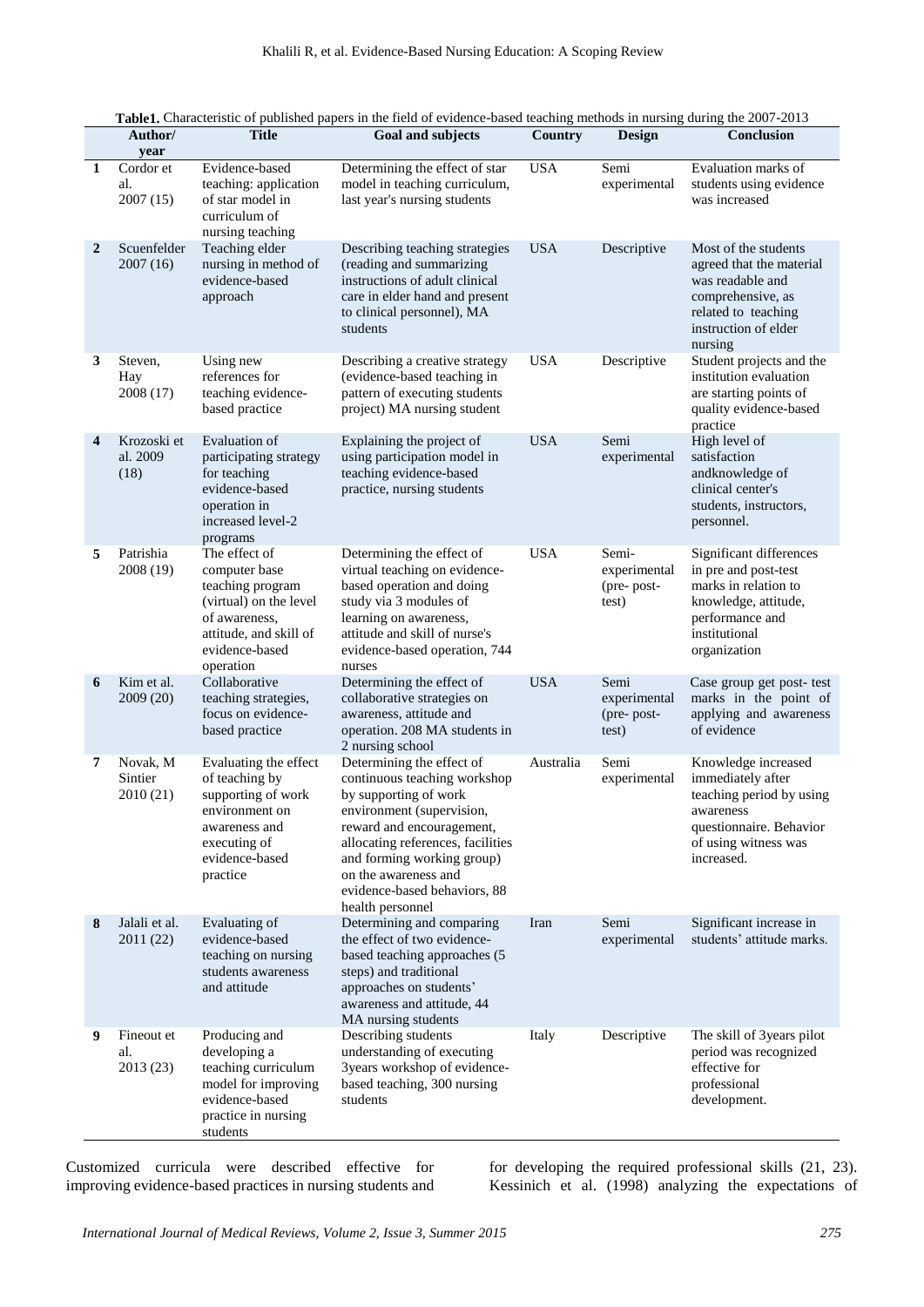|              | Author/<br>year                  | <b>Title</b>                                                                                                                                           | <b>Goal and subjects</b>                                                                                                                                                                                                                                                                    | Country    | <b>Design</b>                                | Conclusion                                                                                                                                          |
|--------------|----------------------------------|--------------------------------------------------------------------------------------------------------------------------------------------------------|---------------------------------------------------------------------------------------------------------------------------------------------------------------------------------------------------------------------------------------------------------------------------------------------|------------|----------------------------------------------|-----------------------------------------------------------------------------------------------------------------------------------------------------|
| $\mathbf{1}$ | Cordor et<br>al.<br>2007(15)     | Evidence-based<br>teaching: application<br>of star model in<br>curriculum of<br>nursing teaching                                                       | Determining the effect of star<br>model in teaching curriculum,<br>last year's nursing students                                                                                                                                                                                             | <b>USA</b> | Semi<br>experimental                         | Evaluation marks of<br>students using evidence<br>was increased                                                                                     |
| 2            | Scuenfelder<br>2007(16)          | Teaching elder<br>nursing in method of<br>evidence-based<br>approach                                                                                   | Describing teaching strategies<br>(reading and summarizing<br>instructions of adult clinical<br>care in elder hand and present<br>to clinical personnel), MA<br>students                                                                                                                    | <b>USA</b> | Descriptive                                  | Most of the students<br>agreed that the material<br>was readable and<br>comprehensive, as<br>related to teaching<br>instruction of elder<br>nursing |
| 3            | Steven,<br>Hay<br>2008 (17)      | Using new<br>references for<br>teaching evidence-<br>based practice                                                                                    | Describing a creative strategy<br>(evidence-based teaching in<br>pattern of executing students<br>project) MA nursing student                                                                                                                                                               | <b>USA</b> | Descriptive                                  | Student projects and the<br>institution evaluation<br>are starting points of<br>quality evidence-based<br>practice                                  |
| 4            | Krozoski et<br>al. 2009<br>(18)  | Evaluation of<br>participating strategy<br>for teaching<br>evidence-based<br>operation in<br>increased level-2<br>programs                             | Explaining the project of<br>using participation model in<br>teaching evidence-based<br>practice, nursing students                                                                                                                                                                          | <b>USA</b> | Semi<br>experimental                         | High level of<br>satisfaction<br>andknowledge of<br>clinical center's<br>students, instructors,<br>personnel.                                       |
| 5            | Patrishia<br>2008 (19)           | The effect of<br>computer base<br>teaching program<br>(virtual) on the level<br>of awareness,<br>attitude, and skill of<br>evidence-based<br>operation | Determining the effect of<br>virtual teaching on evidence-<br>based operation and doing<br>study via 3 modules of<br>learning on awareness,<br>attitude and skill of nurse's<br>evidence-based operation, 744<br>nurses                                                                     | <b>USA</b> | Semi-<br>experimental<br>(pre-post-<br>test) | Significant differences<br>in pre and post-test<br>marks in relation to<br>knowledge, attitude,<br>performance and<br>institutional<br>organization |
| 6            | Kim et al.<br>2009 (20)          | Collaborative<br>teaching strategies,<br>focus on evidence-<br>based practice                                                                          | Determining the effect of<br>collaborative strategies on<br>awareness, attitude and<br>operation. 208 MA students in<br>2 nursing school                                                                                                                                                    | <b>USA</b> | Semi<br>experimental<br>(pre-post-<br>test)  | Case group get post- test<br>marks in the point of<br>applying and awareness<br>of evidence                                                         |
| 7            | Novak, M<br>Sintier<br>2010 (21) | Evaluating the effect<br>of teaching by<br>supporting of work<br>environment on<br>awareness and<br>executing of<br>evidence-based<br>practice         | Determining the effect of<br>continuous teaching workshop<br>by supporting of work<br>environment (supervision,<br>reward and encouragement,<br>allocating references, facilities<br>and forming working group)<br>on the awareness and<br>evidence-based behaviors, 88<br>health personnel | Australia  | Semi<br>experimental                         | Knowledge increased<br>immediately after<br>teaching period by using<br>awareness<br>questionnaire. Behavior<br>of using witness was<br>increased.  |
| 8            | Jalali et al.<br>2011 (22)       | Evaluating of<br>evidence-based<br>teaching on nursing<br>students awareness<br>and attitude                                                           | Determining and comparing<br>the effect of two evidence-<br>based teaching approaches (5<br>steps) and traditional<br>approaches on students'<br>awareness and attitude, 44<br>MA nursing students                                                                                          | Iran       | Semi<br>experimental                         | Significant increase in<br>students' attitude marks.                                                                                                |
| 9            | Fineout et<br>al.<br>2013 (23)   | Producing and<br>developing a<br>teaching curriculum<br>model for improving<br>evidence-based<br>practice in nursing<br>students                       | Describing students<br>understanding of executing<br>3years workshop of evidence-<br>based teaching, 300 nursing<br>students                                                                                                                                                                | Italy      | Descriptive                                  | The skill of 3years pilot<br>period was recognized<br>effective for<br>professional<br>development.                                                 |

|--|

Customized curricula were described effective for improving evidence-based practices in nursing students and for developing the required professional skills (21, 23). Kessinich et al. (1998) analyzing the expectations of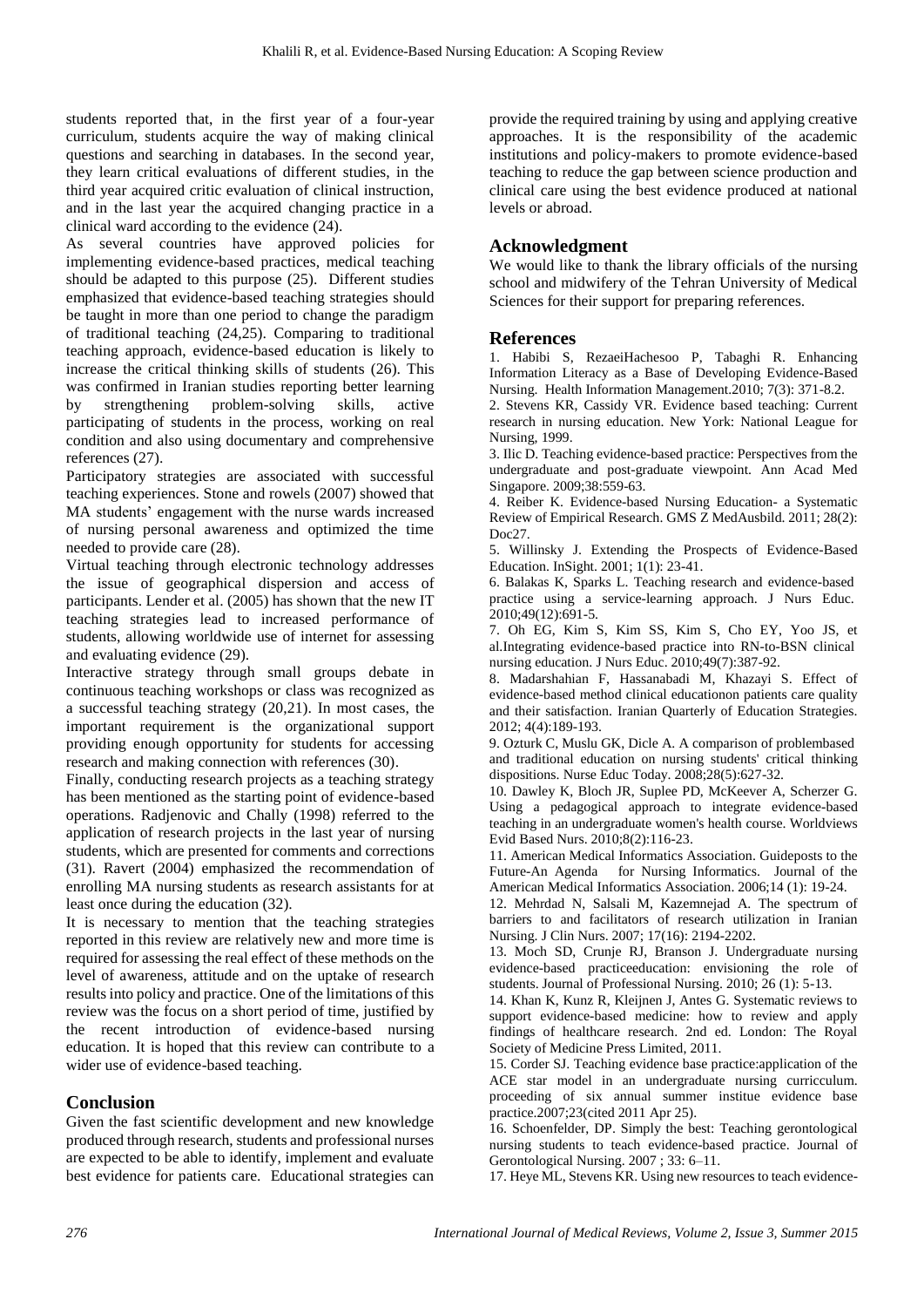students reported that, in the first year of a four-year curriculum, students acquire the way of making clinical questions and searching in databases. In the second year, they learn critical evaluations of different studies, in the third year acquired critic evaluation of clinical instruction, and in the last year the acquired changing practice in a clinical ward according to the evidence (24).

As several countries have approved policies for implementing evidence-based practices, medical teaching should be adapted to this purpose (25). Different studies emphasized that evidence-based teaching strategies should be taught in more than one period to change the paradigm of traditional teaching (24,25). Comparing to traditional teaching approach, evidence-based education is likely to increase the critical thinking skills of students (26). This was confirmed in Iranian studies reporting better learning by strengthening problem-solving skills, active participating of students in the process, working on real condition and also using documentary and comprehensive references (27).

Participatory strategies are associated with successful teaching experiences. Stone and rowels (2007) showed that MA students' engagement with the nurse wards increased of nursing personal awareness and optimized the time needed to provide care (28).

Virtual teaching through electronic technology addresses the issue of geographical dispersion and access of participants. Lender et al. (2005) has shown that the new IT teaching strategies lead to increased performance of students, allowing worldwide use of internet for assessing and evaluating evidence (29).

Interactive strategy through small groups debate in continuous teaching workshops or class was recognized as a successful teaching strategy (20,21). In most cases, the important requirement is the organizational support providing enough opportunity for students for accessing research and making connection with references (30).

Finally, conducting research projects as a teaching strategy has been mentioned as the starting point of evidence-based operations. Radjenovic and Chally (1998) referred to the application of research projects in the last year of nursing students, which are presented for comments and corrections (31). Ravert (2004) emphasized the recommendation of enrolling MA nursing students as research assistants for at least once during the education (32).

It is necessary to mention that the teaching strategies reported in this review are relatively new and more time is required for assessing the real effect of these methods on the level of awareness, attitude and on the uptake of research results into policy and practice. One of the limitations of this review was the focus on a short period of time, justified by the recent introduction of evidence-based nursing education. It is hoped that this review can contribute to a wider use of evidence-based teaching.

# **Conclusion**

Given the fast scientific development and new knowledge produced through research, students and professional nurses are expected to be able to identify, implement and evaluate best evidence for patients care. Educational strategies can provide the required training by using and applying creative approaches. It is the responsibility of the academic institutions and policy-makers to promote evidence-based teaching to reduce the gap between science production and clinical care using the best evidence produced at national levels or abroad.

#### **Acknowledgment**

We would like to thank the library officials of the nursing school and midwifery of the Tehran University of Medical Sciences for their support for preparing references.

#### **References**

1. Habibi S, RezaeiHachesoo P, Tabaghi R. Enhancing Information Literacy as a Base of Developing Evidence-Based Nursing. Health Information Management.2010; 7(3): 371-8.2.

2. Stevens KR, Cassidy VR. Evidence based teaching: Current research in nursing education. New York: National League for Nursing, 1999.

3. Ilic D. Teaching evidence-based practice: Perspectives from the undergraduate and post-graduate viewpoint. Ann Acad Med Singapore. 2009;38:559-63.

4. Reiber K. Evidence-based Nursing Education- a Systematic Review of Empirical Research. GMS Z MedAusbild. 2011; 28(2): Doc<sub>27</sub>

5. Willinsky J. Extending the Prospects of Evidence-Based Education. InSight. 2001; 1(1): 23-41.

6. Balakas K, Sparks L. Teaching research and evidence-based practice using a service-learning approach. J Nurs Educ. 2010;49(12):691-5.

7. Oh EG, Kim S, Kim SS, Kim S, Cho EY, Yoo JS, et al.Integrating evidence-based practice into RN-to-BSN clinical nursing education. J Nurs Educ. 2010;49(7):387-92.

8. Madarshahian F, Hassanabadi M, Khazayi S. Effect of evidence-based method clinical educationon patients care quality and their satisfaction. Iranian Quarterly of Education Strategies. 2012; 4(4):189-193.

9. Ozturk C, Muslu GK, Dicle A. A comparison of problembased and traditional education on nursing students' critical thinking dispositions. Nurse Educ Today. 2008;28(5):627-32.

10. Dawley K, Bloch JR, Suplee PD, McKeever A, Scherzer G. Using a pedagogical approach to integrate evidence-based teaching in an undergraduate women's health course. Worldviews Evid Based Nurs. 2010;8(2):116-23.

11. American Medical Informatics Association. Guideposts to the Future-An Agenda for Nursing Informatics. Journal of the American Medical Informatics Association. 2006;14 (1): 19-24.

12. Mehrdad N, Salsali M, Kazemnejad A. The spectrum of barriers to and facilitators of research utilization in Iranian Nursing. J Clin Nurs. 2007; 17(16): 2194-2202.

13. Moch SD, Crunje RJ, Branson J. Undergraduate nursing evidence-based practiceeducation: envisioning the role of students. Journal of Professional Nursing. 2010; 26 (1): 5-13.

14. Khan K, Kunz R, Kleijnen J, Antes G. Systematic reviews to support evidence-based medicine: how to review and apply findings of healthcare research. 2nd ed. London: The Royal Society of Medicine Press Limited, 2011.

15. Corder SJ. Teaching evidence base practice:application of the ACE star model in an undergraduate nursing curricculum. proceeding of six annual summer institue evidence base practice.2007;23(cited 2011 Apr 25).

16. Schoenfelder, DP. Simply the best: Teaching gerontological nursing students to teach evidence-based practice. Journal of Gerontological Nursing. 2007 ; 33: 6–11.

17. Heye ML, Stevens KR. Using new resources to teach evidence-